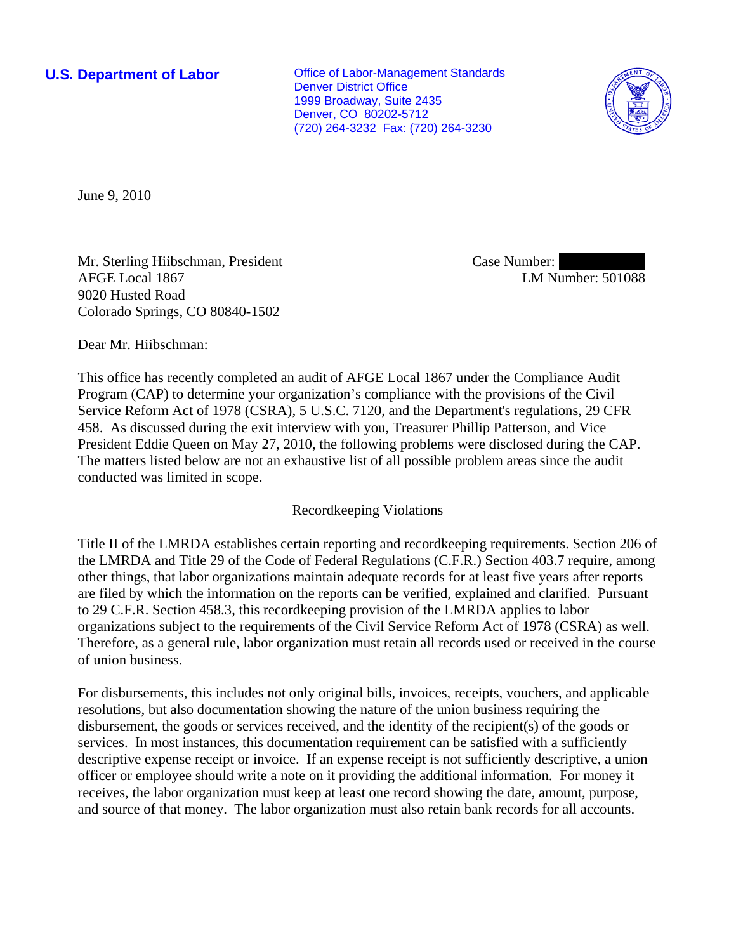**U.S. Department of Labor Conservative Conservative Conservative Conservative Conservative Conservative Conservative Conservative Conservative Conservative Conservative Conservative Conservative Conservative Conservative** Denver District Office 1999 Broadway, Suite 2435 Denver, CO 80202-5712 (720) 264-3232 Fax: (720) 264-3230



June 9, 2010

Mr. Sterling Hiibschman, President AFGE Local 1867 9020 Husted Road Colorado Springs, CO 80840-1502

Case Number: LM Number: 501088

Dear Mr. Hiibschman:

This office has recently completed an audit of AFGE Local 1867 under the Compliance Audit Program (CAP) to determine your organization's compliance with the provisions of the Civil Service Reform Act of 1978 (CSRA), 5 U.S.C. 7120, and the Department's regulations, 29 CFR 458. As discussed during the exit interview with you, Treasurer Phillip Patterson, and Vice President Eddie Queen on May 27, 2010, the following problems were disclosed during the CAP. The matters listed below are not an exhaustive list of all possible problem areas since the audit conducted was limited in scope.

# Recordkeeping Violations

Title II of the LMRDA establishes certain reporting and recordkeeping requirements. Section 206 of the LMRDA and Title 29 of the Code of Federal Regulations (C.F.R.) Section 403.7 require, among other things, that labor organizations maintain adequate records for at least five years after reports are filed by which the information on the reports can be verified, explained and clarified. Pursuant to 29 C.F.R. Section 458.3, this recordkeeping provision of the LMRDA applies to labor organizations subject to the requirements of the Civil Service Reform Act of 1978 (CSRA) as well. Therefore, as a general rule, labor organization must retain all records used or received in the course of union business.

For disbursements, this includes not only original bills, invoices, receipts, vouchers, and applicable resolutions, but also documentation showing the nature of the union business requiring the disbursement, the goods or services received, and the identity of the recipient(s) of the goods or services. In most instances, this documentation requirement can be satisfied with a sufficiently descriptive expense receipt or invoice. If an expense receipt is not sufficiently descriptive, a union officer or employee should write a note on it providing the additional information. For money it receives, the labor organization must keep at least one record showing the date, amount, purpose, and source of that money. The labor organization must also retain bank records for all accounts.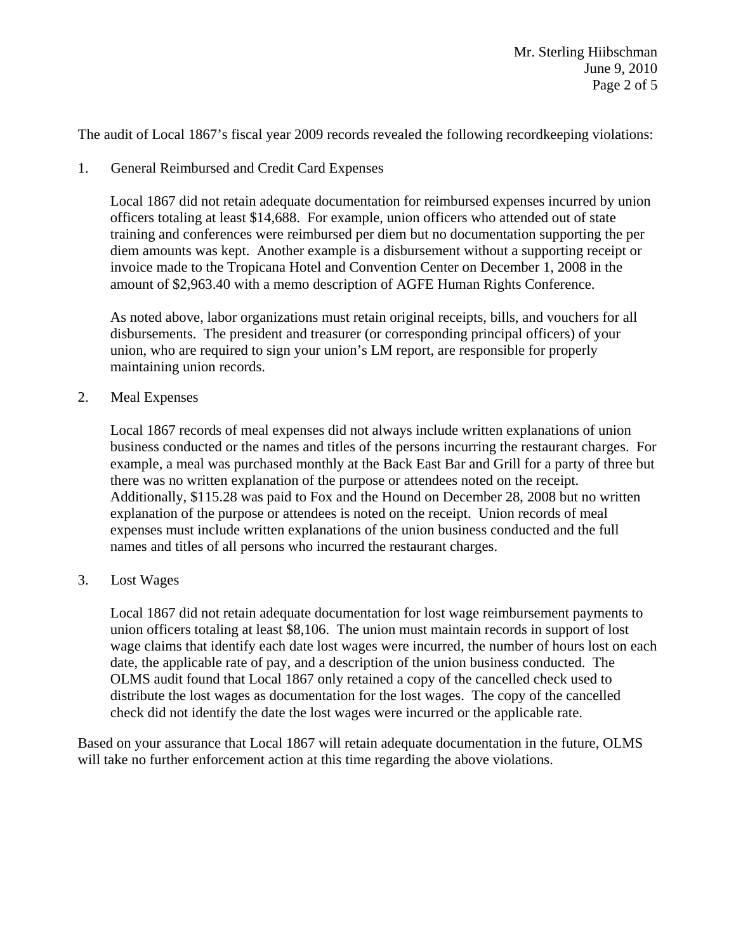The audit of Local 1867's fiscal year 2009 records revealed the following recordkeeping violations:

1. General Reimbursed and Credit Card Expenses

Local 1867 did not retain adequate documentation for reimbursed expenses incurred by union officers totaling at least \$14,688. For example, union officers who attended out of state training and conferences were reimbursed per diem but no documentation supporting the per diem amounts was kept. Another example is a disbursement without a supporting receipt or invoice made to the Tropicana Hotel and Convention Center on December 1, 2008 in the amount of \$2,963.40 with a memo description of AGFE Human Rights Conference.

As noted above, labor organizations must retain original receipts, bills, and vouchers for all disbursements. The president and treasurer (or corresponding principal officers) of your union, who are required to sign your union's LM report, are responsible for properly maintaining union records.

2. Meal Expenses

Local 1867 records of meal expenses did not always include written explanations of union business conducted or the names and titles of the persons incurring the restaurant charges. For example, a meal was purchased monthly at the Back East Bar and Grill for a party of three but there was no written explanation of the purpose or attendees noted on the receipt. Additionally, \$115.28 was paid to Fox and the Hound on December 28, 2008 but no written explanation of the purpose or attendees is noted on the receipt. Union records of meal expenses must include written explanations of the union business conducted and the full names and titles of all persons who incurred the restaurant charges.

3. Lost Wages

Local 1867 did not retain adequate documentation for lost wage reimbursement payments to union officers totaling at least \$8,106. The union must maintain records in support of lost wage claims that identify each date lost wages were incurred, the number of hours lost on each date, the applicable rate of pay, and a description of the union business conducted. The OLMS audit found that Local 1867 only retained a copy of the cancelled check used to distribute the lost wages as documentation for the lost wages. The copy of the cancelled check did not identify the date the lost wages were incurred or the applicable rate.

Based on your assurance that Local 1867 will retain adequate documentation in the future, OLMS will take no further enforcement action at this time regarding the above violations.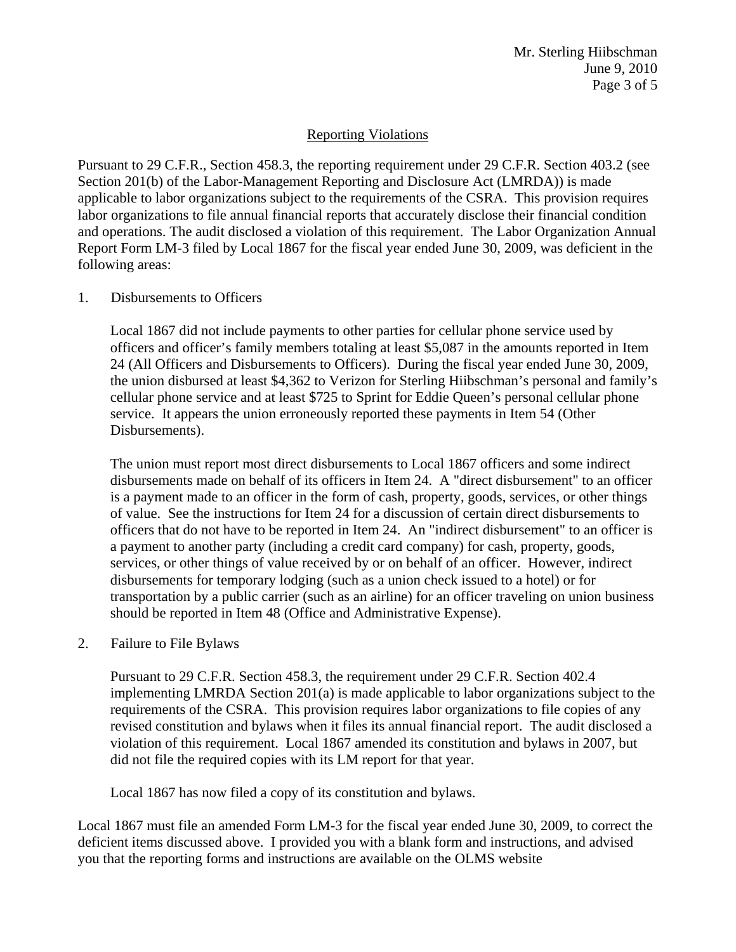# Reporting Violations

Pursuant to 29 C.F.R., Section 458.3, the reporting requirement under 29 C.F.R. Section 403.2 (see Section 201(b) of the Labor-Management Reporting and Disclosure Act (LMRDA)) is made applicable to labor organizations subject to the requirements of the CSRA. This provision requires labor organizations to file annual financial reports that accurately disclose their financial condition and operations. The audit disclosed a violation of this requirement. The Labor Organization Annual Report Form LM-3 filed by Local 1867 for the fiscal year ended June 30, 2009, was deficient in the following areas:

### 1. Disbursements to Officers

Local 1867 did not include payments to other parties for cellular phone service used by officers and officer's family members totaling at least \$5,087 in the amounts reported in Item 24 (All Officers and Disbursements to Officers). During the fiscal year ended June 30, 2009, the union disbursed at least \$4,362 to Verizon for Sterling Hiibschman's personal and family's cellular phone service and at least \$725 to Sprint for Eddie Queen's personal cellular phone service. It appears the union erroneously reported these payments in Item 54 (Other Disbursements).

The union must report most direct disbursements to Local 1867 officers and some indirect disbursements made on behalf of its officers in Item 24. A "direct disbursement" to an officer is a payment made to an officer in the form of cash, property, goods, services, or other things of value. See the instructions for Item 24 for a discussion of certain direct disbursements to officers that do not have to be reported in Item 24. An "indirect disbursement" to an officer is a payment to another party (including a credit card company) for cash, property, goods, services, or other things of value received by or on behalf of an officer. However, indirect disbursements for temporary lodging (such as a union check issued to a hotel) or for transportation by a public carrier (such as an airline) for an officer traveling on union business should be reported in Item 48 (Office and Administrative Expense).

### 2. Failure to File Bylaws

Pursuant to 29 C.F.R. Section 458.3, the requirement under 29 C.F.R. Section 402.4 implementing LMRDA Section 201(a) is made applicable to labor organizations subject to the requirements of the CSRA. This provision requires labor organizations to file copies of any revised constitution and bylaws when it files its annual financial report. The audit disclosed a violation of this requirement. Local 1867 amended its constitution and bylaws in 2007, but did not file the required copies with its LM report for that year.

Local 1867 has now filed a copy of its constitution and bylaws.

Local 1867 must file an amended Form LM-3 for the fiscal year ended June 30, 2009, to correct the deficient items discussed above. I provided you with a blank form and instructions, and advised you that the reporting forms and instructions are available on the OLMS website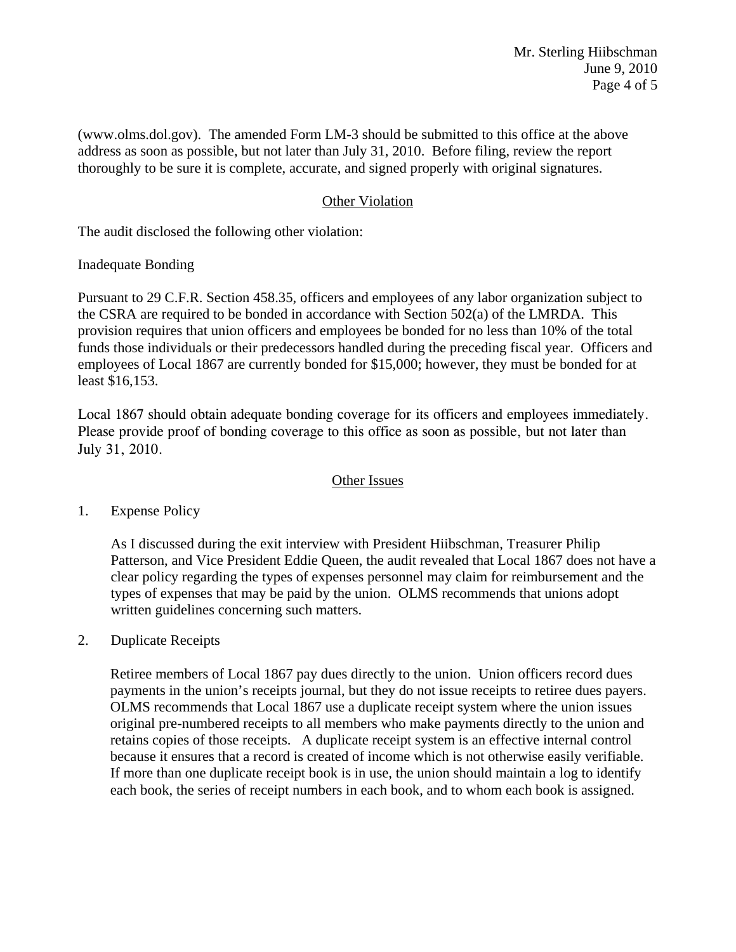(www.olms.dol.gov). The amended Form LM-3 should be submitted to this office at the above address as soon as possible, but not later than July 31, 2010. Before filing, review the report thoroughly to be sure it is complete, accurate, and signed properly with original signatures.

### Other Violation

The audit disclosed the following other violation:

### Inadequate Bonding

Pursuant to 29 C.F.R. Section 458.35, officers and employees of any labor organization subject to the CSRA are required to be bonded in accordance with Section 502(a) of the LMRDA. This provision requires that union officers and employees be bonded for no less than 10% of the total funds those individuals or their predecessors handled during the preceding fiscal year. Officers and employees of Local 1867 are currently bonded for \$15,000; however, they must be bonded for at least \$16,153.

Local 1867 should obtain adequate bonding coverage for its officers and employees immediately. Please provide proof of bonding coverage to this office as soon as possible, but not later than July 31, 2010.

### Other Issues

# 1. Expense Policy

As I discussed during the exit interview with President Hiibschman, Treasurer Philip Patterson, and Vice President Eddie Queen, the audit revealed that Local 1867 does not have a clear policy regarding the types of expenses personnel may claim for reimbursement and the types of expenses that may be paid by the union. OLMS recommends that unions adopt written guidelines concerning such matters.

### 2. Duplicate Receipts

Retiree members of Local 1867 pay dues directly to the union. Union officers record dues payments in the union's receipts journal, but they do not issue receipts to retiree dues payers. OLMS recommends that Local 1867 use a duplicate receipt system where the union issues original pre-numbered receipts to all members who make payments directly to the union and retains copies of those receipts. A duplicate receipt system is an effective internal control because it ensures that a record is created of income which is not otherwise easily verifiable. If more than one duplicate receipt book is in use, the union should maintain a log to identify each book, the series of receipt numbers in each book, and to whom each book is assigned.